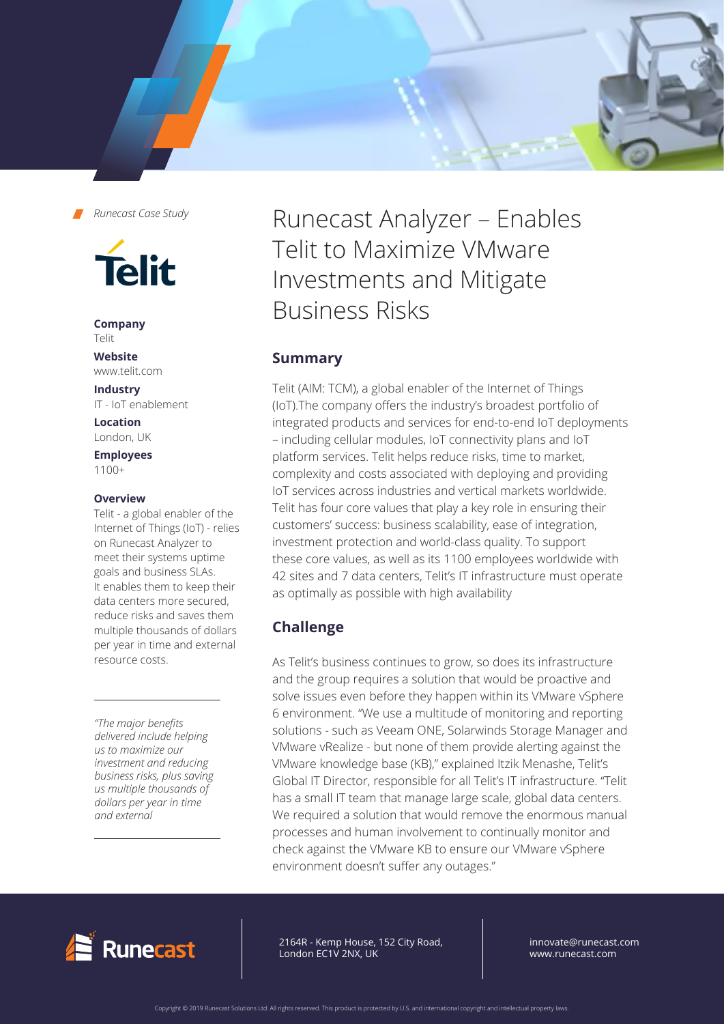



**Company** Telit

#### **Website** www.telit.com

**Industry** IT - IoT enablement

**Location** London, UK

**Employees**  1100+

### **Overview**

Telit - a global enabler of the Internet of Things (IoT) - relies on Runecast Analyzer to meet their systems uptime goals and business SLAs. It enables them to keep their data centers more secured, reduce risks and saves them multiple thousands of dollars per year in time and external resource costs.

*"The major benefits delivered include helping us to maximize our investment and reducing business risks, plus saving us multiple thousands of dollars per year in time and external*

Runecast Analyzer – Enables Telit to Maximize VMware Investments and Mitigate Business Risks

## **Summary**

Telit (AIM: TCM), a global enabler of the Internet of Things (IoT).The company offers the industry's broadest portfolio of integrated products and services for end-to-end IoT deployments – including cellular modules, IoT connectivity plans and IoT platform services. Telit helps reduce risks, time to market, complexity and costs associated with deploying and providing IoT services across industries and vertical markets worldwide. Telit has four core values that play a key role in ensuring their customers' success: business scalability, ease of integration, investment protection and world-class quality. To support these core values, as well as its 1100 employees worldwide with 42 sites and 7 data centers, Telit's IT infrastructure must operate as optimally as possible with high availability

# **Challenge**

As Telit's business continues to grow, so does its infrastructure and the group requires a solution that would be proactive and solve issues even before they happen within its VMware vSphere 6 environment. "We use a multitude of monitoring and reporting solutions - such as Veeam ONE, Solarwinds Storage Manager and VMware vRealize - but none of them provide alerting against the VMware knowledge base (KB)," explained Itzik Menashe, Telit's Global IT Director, responsible for all Telit's IT infrastructure. "Telit has a small IT team that manage large scale, global data centers. We required a solution that would remove the enormous manual processes and human involvement to continually monitor and check against the VMware KB to ensure our VMware vSphere environment doesn't suffer any outages."



64R - Kemp House, 152 City Road, ndon EC1V 2NX, UK 2164R - Kemp House, 152 City Road, London EC1V 2NX, UK

innovate@runecast.com www.runecast.com